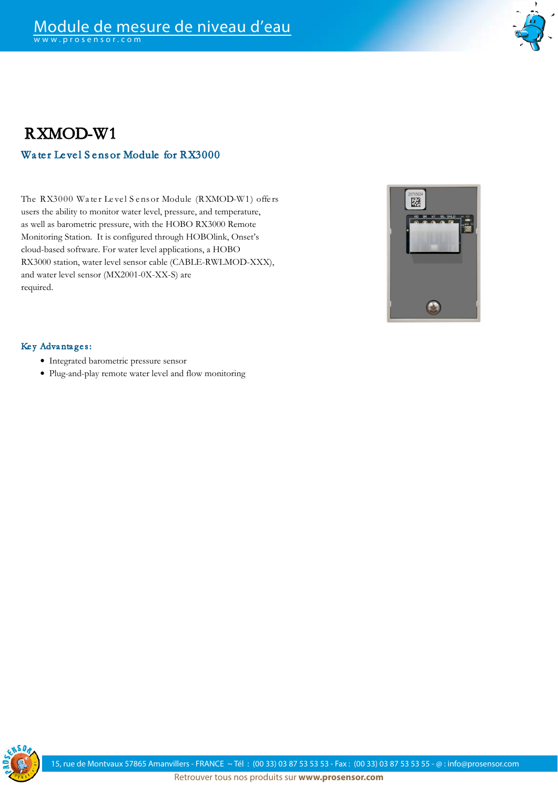

## RXMOD-W1 Water Level Sens or Module for RX3000

The RX3000 Water Level Sens or Module (RXMOD-W1) offers users the ability to monitor water level, pressure, and temperature, as well as barometric pressure, with the HOBO RX3000 Remote Monitoring Station. It is configured through HOBOlink, Onset's cloud-based software. For water level applications, a HOBO RX3000 station, water level sensor cable (CABLE-RWLMOD-XXX), and water level sensor (MX2001-0X-XX-S) are required.



#### Key Advantages:

- Integrated barometric pressure sensor
- Plug-and-play remote water level and flow monitoring

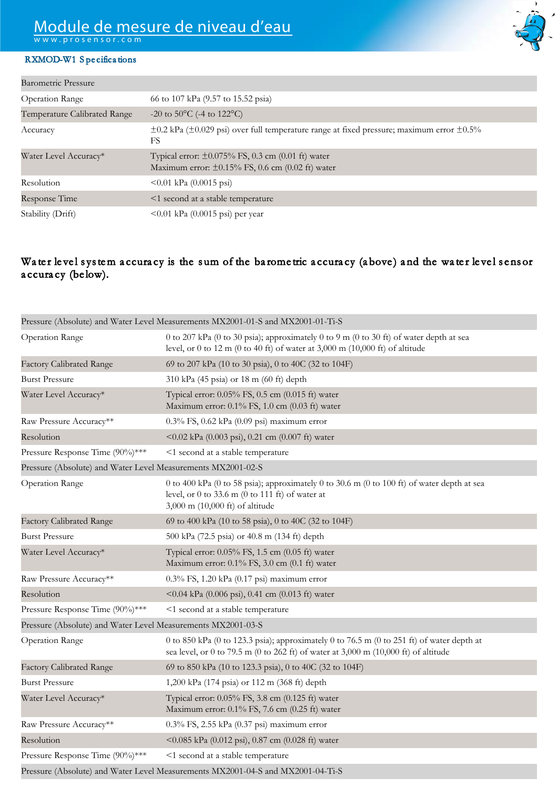# Module de mesure de niveau d'eau

w w w . p r o s e n s o r . c o m

### RXMOD-W1 S pe cifica tions

| <b>Barometric Pressure</b>   |                                                                                                                   |
|------------------------------|-------------------------------------------------------------------------------------------------------------------|
| <b>Operation Range</b>       | 66 to 107 kPa (9.57 to 15.52 psia)                                                                                |
| Temperature Calibrated Range | $-20$ to 50 $\mathrm{^{\circ}C}$ (-4 to 122 $\mathrm{^{\circ}C}$ )                                                |
| Accuracy                     | $\pm 0.2$ kPa ( $\pm 0.029$ psi) over full temperature range at fixed pressure; maximum error $\pm 0.5\%$<br>FS   |
| Water Level Accuracy*        | Typical error: $\pm 0.075\%$ FS, 0.3 cm (0.01 ft) water<br>Maximum error: $\pm 0.15\%$ FS, 0.6 cm (0.02 ft) water |
| Resolution                   | $\leq 0.01$ kPa (0.0015 psi)                                                                                      |
| Response Time                | <1 second at a stable temperature                                                                                 |
| Stability (Drift)            | $\leq 0.01$ kPa (0.0015 psi) per year                                                                             |

### Water level system accuracy is the sum of the barometric accuracy (above) and the water level sensor a ccura cy (be low).

|                                                              | Pressure (Absolute) and Water Level Measurements MX2001-01-S and MX2001-01-Ti-S                                                                                                          |
|--------------------------------------------------------------|------------------------------------------------------------------------------------------------------------------------------------------------------------------------------------------|
| Operation Range                                              | 0 to 207 kPa (0 to 30 psia); approximately 0 to 9 m (0 to 30 ft) of water depth at sea<br>level, or 0 to 12 m (0 to 40 ft) of water at 3,000 m (10,000 ft) of altitude                   |
| <b>Factory Calibrated Range</b>                              | 69 to 207 kPa (10 to 30 psia), 0 to 40C (32 to 104F)                                                                                                                                     |
| <b>Burst Pressure</b>                                        | 310 kPa (45 psia) or 18 m (60 ft) depth                                                                                                                                                  |
| Water Level Accuracy*                                        | Typical error: 0.05% FS, 0.5 cm (0.015 ft) water<br>Maximum error: 0.1% FS, 1.0 cm (0.03 ft) water                                                                                       |
| Raw Pressure Accuracy**                                      | 0.3% FS, 0.62 kPa (0.09 psi) maximum error                                                                                                                                               |
| Resolution                                                   | <0.02 kPa (0.003 psi), 0.21 cm (0.007 ft) water                                                                                                                                          |
| Pressure Response Time (90%)***                              | <1 second at a stable temperature                                                                                                                                                        |
| Pressure (Absolute) and Water Level Measurements MX2001-02-S |                                                                                                                                                                                          |
| <b>Operation Range</b>                                       | 0 to 400 kPa (0 to 58 psia); approximately 0 to 30.6 m (0 to 100 ft) of water depth at sea<br>level, or $0$ to $33.6$ m $(0$ to $111$ ft) of water at<br>3,000 m (10,000 ft) of altitude |
| <b>Factory Calibrated Range</b>                              | 69 to 400 kPa (10 to 58 psia), 0 to 40C (32 to 104F)                                                                                                                                     |
| <b>Burst Pressure</b>                                        | 500 kPa (72.5 psia) or 40.8 m (134 ft) depth                                                                                                                                             |
| Water Level Accuracy*                                        | Typical error: 0.05% FS, 1.5 cm (0.05 ft) water<br>Maximum error: 0.1% FS, 3.0 cm (0.1 ft) water                                                                                         |
| Raw Pressure Accuracy**                                      | 0.3% FS, 1.20 kPa (0.17 psi) maximum error                                                                                                                                               |
| Resolution                                                   | <0.04 kPa (0.006 psi), 0.41 cm (0.013 ft) water                                                                                                                                          |
| Pressure Response Time (90%)***                              | <1 second at a stable temperature                                                                                                                                                        |
| Pressure (Absolute) and Water Level Measurements MX2001-03-S |                                                                                                                                                                                          |
| <b>Operation Range</b>                                       | 0 to 850 kPa (0 to 123.3 psia); approximately 0 to 76.5 m (0 to 251 ft) of water depth at<br>sea level, or 0 to 79.5 m (0 to 262 ft) of water at 3,000 m (10,000 ft) of altitude         |
| <b>Factory Calibrated Range</b>                              | 69 to 850 kPa (10 to 123.3 psia), 0 to 40C (32 to 104F)                                                                                                                                  |
| <b>Burst Pressure</b>                                        | 1,200 kPa (174 psia) or 112 m (368 ft) depth                                                                                                                                             |
| Water Level Accuracy*                                        | Typical error: 0.05% FS, 3.8 cm (0.125 ft) water<br>Maximum error: 0.1% FS, 7.6 cm (0.25 ft) water                                                                                       |
| Raw Pressure Accuracy**                                      | $0.3\%$ FS, 2.55 kPa $(0.37 \text{ psi})$ maximum error                                                                                                                                  |
| Resolution                                                   | <0.085 kPa (0.012 psi), 0.87 cm (0.028 ft) water                                                                                                                                         |
| Pressure Response Time (90%)***                              | <1 second at a stable temperature                                                                                                                                                        |
|                                                              | $P_1$ (A1 1.) $1WU$ , $T = 1M$ (and $1W^{2}$ ) (and $1W^{2}$ ) (and $1M^{2}$ ) (and $1M^{2}$ ) (b)                                                                                       |

Pressure (Absolute) and Water Level Measurements MX2001-04-S and MX2001-04-Ti-S